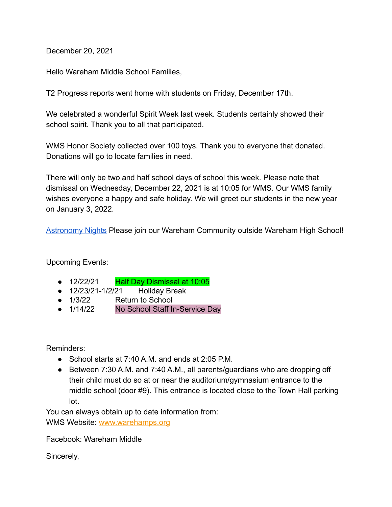December 20, 2021

Hello Wareham Middle School Families,

T2 Progress reports went home with students on Friday, December 17th.

We celebrated a wonderful Spirit Week last week. Students certainly showed their school spirit. Thank you to all that participated.

WMS Honor Society collected over 100 toys. Thank you to everyone that donated. Donations will go to locate families in need.

There will only be two and half school days of school this week. Please note that dismissal on Wednesday, December 22, 2021 is at 10:05 for WMS. Our WMS family wishes everyone a happy and safe holiday. We will greet our students in the new year on January 3, 2022.

[Astronomy Nights](https://docs.google.com/presentation/d/1DmKcLPWkUKoFRo1ChaYmO-q8SZr-zYm_xXlw0VyL6lA/edit#slide=id.gf72013f103_0_0) Please join our Wareham Community outside Wareham High School!

Upcoming Events:

- 12/22/21 Half Day Dismissal at 10:05
- 12/23/21-1/2/21 Holiday Break
- 1/3/22 Return to School<br>▲ 1/14/22 No School Staff In
- No School Staff In-Service Day

Reminders:

- School starts at 7:40 A.M. and ends at 2:05 P.M.
- Between 7:30 A.M. and 7:40 A.M., all parents/guardians who are dropping off their child must do so at or near the auditorium/gymnasium entrance to the middle school (door #9). This entrance is located close to the Town Hall parking lot.

You can always obtain up to date information from: WMS Website: [www.warehamps.org](http://www.warehamps.org)

Facebook: Wareham Middle

Sincerely,